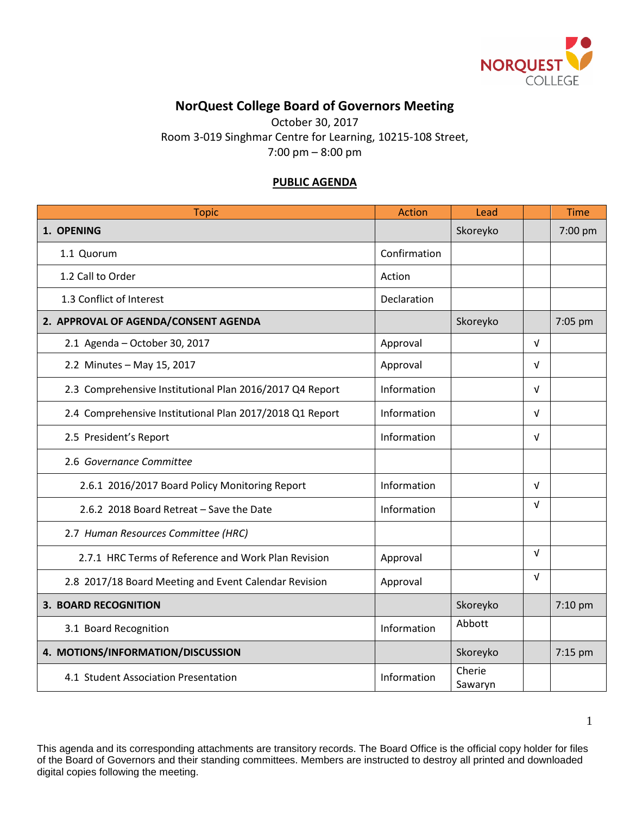

## **NorQuest College Board of Governors Meeting**

October 30, 2017 Room 3-019 Singhmar Centre for Learning, 10215-108 Street, 7:00 pm – 8:00 pm

## **PUBLIC AGENDA**

| <b>Topic</b>                                             | <b>Action</b> | Lead              |            | <b>Time</b> |
|----------------------------------------------------------|---------------|-------------------|------------|-------------|
| 1. OPENING                                               |               | Skoreyko          |            | 7:00 pm     |
| 1.1 Quorum                                               | Confirmation  |                   |            |             |
| 1.2 Call to Order                                        | Action        |                   |            |             |
| 1.3 Conflict of Interest                                 | Declaration   |                   |            |             |
| 2. APPROVAL OF AGENDA/CONSENT AGENDA                     |               | Skoreyko          |            | 7:05 pm     |
| 2.1 Agenda - October 30, 2017                            | Approval      |                   | $\sqrt{ }$ |             |
| 2.2 Minutes - May 15, 2017                               | Approval      |                   | $\sqrt{ }$ |             |
| 2.3 Comprehensive Institutional Plan 2016/2017 Q4 Report | Information   |                   | $\sqrt{ }$ |             |
| 2.4 Comprehensive Institutional Plan 2017/2018 Q1 Report | Information   |                   | $\sqrt{ }$ |             |
| 2.5 President's Report                                   | Information   |                   | $\sqrt{ }$ |             |
| 2.6 Governance Committee                                 |               |                   |            |             |
| 2.6.1 2016/2017 Board Policy Monitoring Report           | Information   |                   | $\sqrt{ }$ |             |
| 2.6.2 2018 Board Retreat - Save the Date                 | Information   |                   | $\sqrt{ }$ |             |
| 2.7 Human Resources Committee (HRC)                      |               |                   |            |             |
| 2.7.1 HRC Terms of Reference and Work Plan Revision      | Approval      |                   | $\sqrt{ }$ |             |
| 2.8 2017/18 Board Meeting and Event Calendar Revision    | Approval      |                   | $\sqrt{ }$ |             |
| <b>3. BOARD RECOGNITION</b>                              |               | Skoreyko          |            | 7:10 pm     |
| 3.1 Board Recognition                                    | Information   | Abbott            |            |             |
| 4. MOTIONS/INFORMATION/DISCUSSION                        |               | Skoreyko          |            | 7:15 pm     |
| 4.1 Student Association Presentation                     | Information   | Cherie<br>Sawaryn |            |             |

This agenda and its corresponding attachments are transitory records. The Board Office is the official copy holder for files of the Board of Governors and their standing committees. Members are instructed to destroy all printed and downloaded digital copies following the meeting.